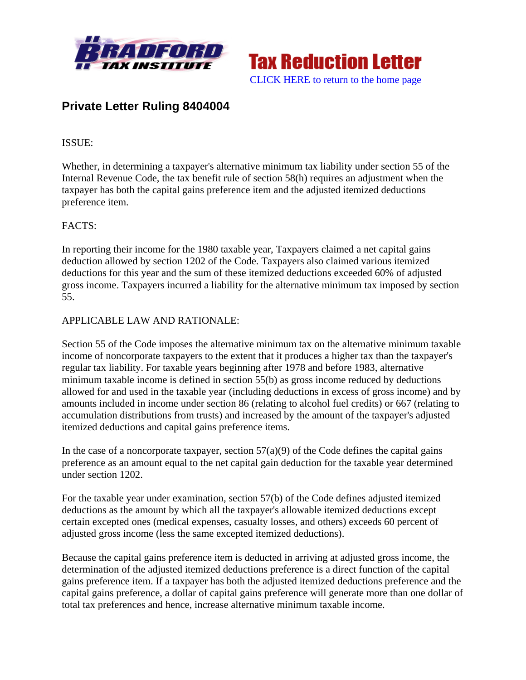



# **Private Letter Ruling 8404004**

## ISSUE:

Whether, in determining a taxpayer's alternative minimum tax liability under section 55 of the Internal Revenue Code, the tax benefit rule of section 58(h) requires an adjustment when the taxpayer has both the capital gains preference item and the adjusted itemized deductions preference item.

### FACTS:

In reporting their income for the 1980 taxable year, Taxpayers claimed a net capital gains deduction allowed by section 1202 of the Code. Taxpayers also claimed various itemized deductions for this year and the sum of these itemized deductions exceeded 60% of adjusted gross income. Taxpayers incurred a liability for the alternative minimum tax imposed by section 55.

### APPLICABLE LAW AND RATIONALE:

Section 55 of the Code imposes the alternative minimum tax on the alternative minimum taxable income of noncorporate taxpayers to the extent that it produces a higher tax than the taxpayer's regular tax liability. For taxable years beginning after 1978 and before 1983, alternative minimum taxable income is defined in section 55(b) as gross income reduced by deductions allowed for and used in the taxable year (including deductions in excess of gross income) and by amounts included in income under section 86 (relating to alcohol fuel credits) or 667 (relating to accumulation distributions from trusts) and increased by the amount of the taxpayer's adjusted itemized deductions and capital gains preference items.

In the case of a noncorporate taxpayer, section  $57(a)(9)$  of the Code defines the capital gains preference as an amount equal to the net capital gain deduction for the taxable year determined under section 1202.

For the taxable year under examination, section 57(b) of the Code defines adjusted itemized deductions as the amount by which all the taxpayer's allowable itemized deductions except certain excepted ones (medical expenses, casualty losses, and others) exceeds 60 percent of adjusted gross income (less the same excepted itemized deductions).

Because the capital gains preference item is deducted in arriving at adjusted gross income, the determination of the adjusted itemized deductions preference is a direct function of the capital gains preference item. If a taxpayer has both the adjusted itemized deductions preference and the capital gains preference, a dollar of capital gains preference will generate more than one dollar of total tax preferences and hence, increase alternative minimum taxable income.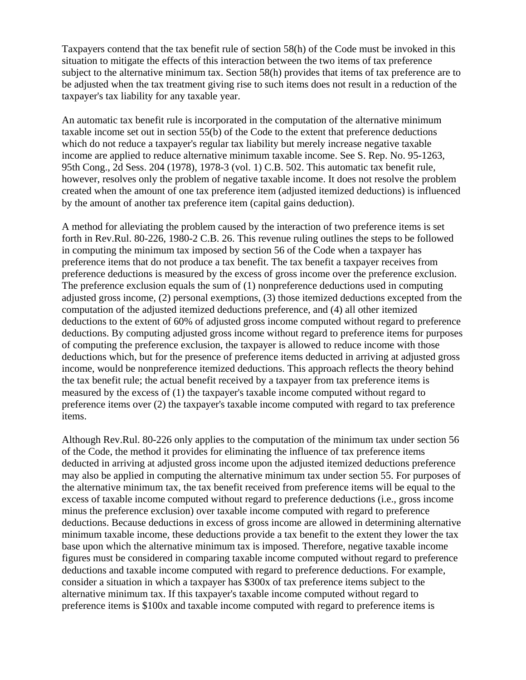Taxpayers contend that the tax benefit rule of section 58(h) of the Code must be invoked in this situation to mitigate the effects of this interaction between the two items of tax preference subject to the alternative minimum tax. Section 58(h) provides that items of tax preference are to be adjusted when the tax treatment giving rise to such items does not result in a reduction of the taxpayer's tax liability for any taxable year.

An automatic tax benefit rule is incorporated in the computation of the alternative minimum taxable income set out in section 55(b) of the Code to the extent that preference deductions which do not reduce a taxpayer's regular tax liability but merely increase negative taxable income are applied to reduce alternative minimum taxable income. See S. Rep. No. 95-1263, 95th Cong., 2d Sess. 204 (1978), 1978-3 (vol. 1) C.B. 502. This automatic tax benefit rule, however, resolves only the problem of negative taxable income. It does not resolve the problem created when the amount of one tax preference item (adjusted itemized deductions) is influenced by the amount of another tax preference item (capital gains deduction).

A method for alleviating the problem caused by the interaction of two preference items is set forth in Rev.Rul. 80-226, 1980-2 C.B. 26. This revenue ruling outlines the steps to be followed in computing the minimum tax imposed by section 56 of the Code when a taxpayer has preference items that do not produce a tax benefit. The tax benefit a taxpayer receives from preference deductions is measured by the excess of gross income over the preference exclusion. The preference exclusion equals the sum of (1) nonpreference deductions used in computing adjusted gross income, (2) personal exemptions, (3) those itemized deductions excepted from the computation of the adjusted itemized deductions preference, and (4) all other itemized deductions to the extent of 60% of adjusted gross income computed without regard to preference deductions. By computing adjusted gross income without regard to preference items for purposes of computing the preference exclusion, the taxpayer is allowed to reduce income with those deductions which, but for the presence of preference items deducted in arriving at adjusted gross income, would be nonpreference itemized deductions. This approach reflects the theory behind the tax benefit rule; the actual benefit received by a taxpayer from tax preference items is measured by the excess of (1) the taxpayer's taxable income computed without regard to preference items over (2) the taxpayer's taxable income computed with regard to tax preference items.

Although Rev.Rul. 80-226 only applies to the computation of the minimum tax under section 56 of the Code, the method it provides for eliminating the influence of tax preference items deducted in arriving at adjusted gross income upon the adjusted itemized deductions preference may also be applied in computing the alternative minimum tax under section 55. For purposes of the alternative minimum tax, the tax benefit received from preference items will be equal to the excess of taxable income computed without regard to preference deductions (i.e., gross income minus the preference exclusion) over taxable income computed with regard to preference deductions. Because deductions in excess of gross income are allowed in determining alternative minimum taxable income, these deductions provide a tax benefit to the extent they lower the tax base upon which the alternative minimum tax is imposed. Therefore, negative taxable income figures must be considered in comparing taxable income computed without regard to preference deductions and taxable income computed with regard to preference deductions. For example, consider a situation in which a taxpayer has \$300x of tax preference items subject to the alternative minimum tax. If this taxpayer's taxable income computed without regard to preference items is \$100x and taxable income computed with regard to preference items is